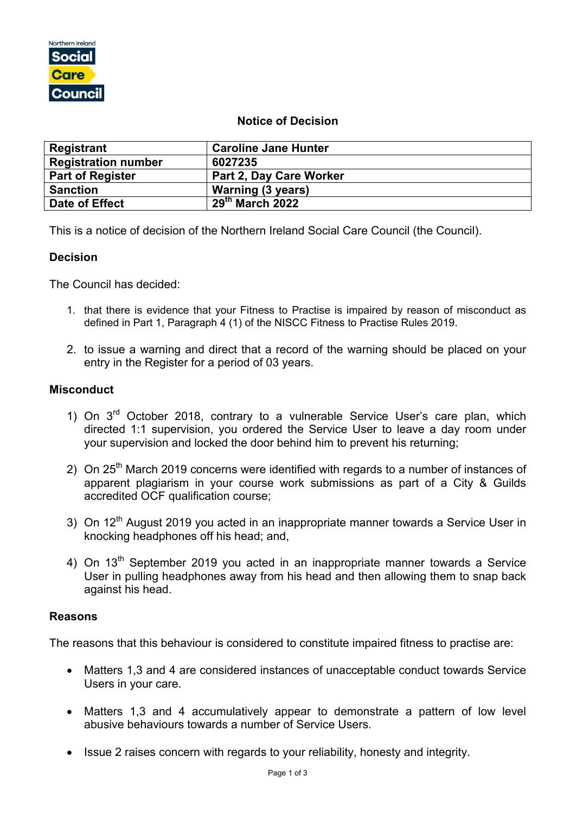

# **Notice of Decision**

| Registrant                 | <b>Caroline Jane Hunter</b>              |
|----------------------------|------------------------------------------|
| <b>Registration number</b> | 6027235                                  |
| <b>Part of Register</b>    | Part 2, Day Care Worker                  |
| <b>Sanction</b>            | Warning (3 years)                        |
| Date of Effect             | $\overline{29}$ <sup>th</sup> March 2022 |

This is a notice of decision of the Northern Ireland Social Care Council (the Council).

# **Decision**

The Council has decided:

- 1. that there is evidence that your Fitness to Practise is impaired by reason of misconduct as defined in Part 1, Paragraph 4 (1) of the NISCC Fitness to Practise Rules 2019.
- 2. to issue a warning and direct that a record of the warning should be placed on your entry in the Register for a period of 03 years.

# **Misconduct**

- 1) On  $3<sup>rd</sup>$  October 2018, contrary to a vulnerable Service User's care plan, which directed 1:1 supervision, you ordered the Service User to leave a day room under your supervision and locked the door behind him to prevent his returning;
- 2) On  $25<sup>th</sup>$  March 2019 concerns were identified with regards to a number of instances of apparent plagiarism in your course work submissions as part of a City & Guilds accredited OCF qualification course;
- 3) On 12<sup>th</sup> August 2019 you acted in an inappropriate manner towards a Service User in knocking headphones off his head; and,
- 4) On 13<sup>th</sup> September 2019 you acted in an inappropriate manner towards a Service User in pulling headphones away from his head and then allowing them to snap back against his head.

# **Reasons**

The reasons that this behaviour is considered to constitute impaired fitness to practise are:

- Matters 1,3 and 4 are considered instances of unacceptable conduct towards Service Users in your care.
- Matters 1,3 and 4 accumulatively appear to demonstrate a pattern of low level abusive behaviours towards a number of Service Users.
- Issue 2 raises concern with regards to your reliability, honesty and integrity.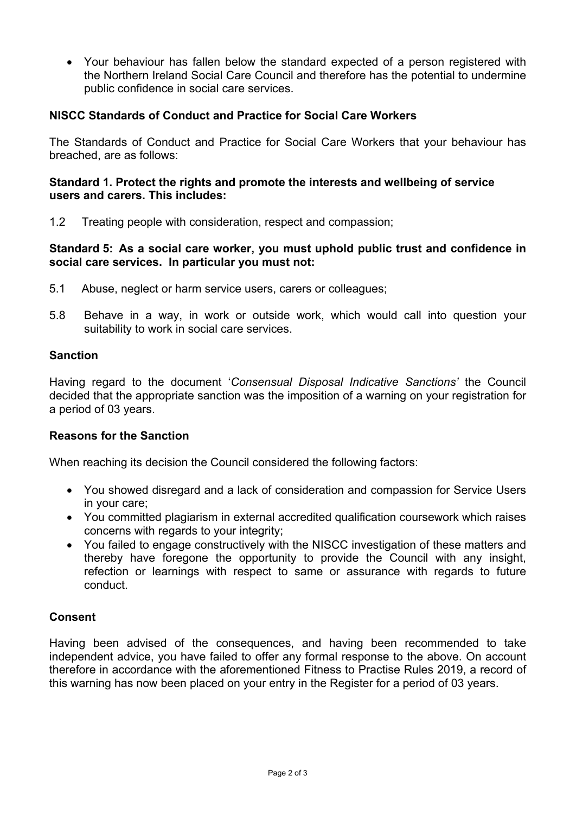• Your behaviour has fallen below the standard expected of a person registered with the Northern Ireland Social Care Council and therefore has the potential to undermine public confidence in social care services.

# **NISCC Standards of Conduct and Practice for Social Care Workers**

The Standards of Conduct and Practice for Social Care Workers that your behaviour has breached, are as follows:

#### **Standard 1. Protect the rights and promote the interests and wellbeing of service users and carers. This includes:**

1.2 Treating people with consideration, respect and compassion;

#### **Standard 5: As a social care worker, you must uphold public trust and confidence in social care services. In particular you must not:**

- 5.1 Abuse, neglect or harm service users, carers or colleagues;
- 5.8 Behave in a way, in work or outside work, which would call into question your suitability to work in social care services.

#### **Sanction**

Having regard to the document '*Consensual Disposal Indicative Sanctions'* the Council decided that the appropriate sanction was the imposition of a warning on your registration for a period of 03 years.

# **Reasons for the Sanction**

When reaching its decision the Council considered the following factors:

- You showed disregard and a lack of consideration and compassion for Service Users in your care;
- You committed plagiarism in external accredited qualification coursework which raises concerns with regards to your integrity;
- You failed to engage constructively with the NISCC investigation of these matters and thereby have foregone the opportunity to provide the Council with any insight, refection or learnings with respect to same or assurance with regards to future conduct.

# **Consent**

Having been advised of the consequences, and having been recommended to take independent advice, you have failed to offer any formal response to the above. On account therefore in accordance with the aforementioned Fitness to Practise Rules 2019, a record of this warning has now been placed on your entry in the Register for a period of 03 years.